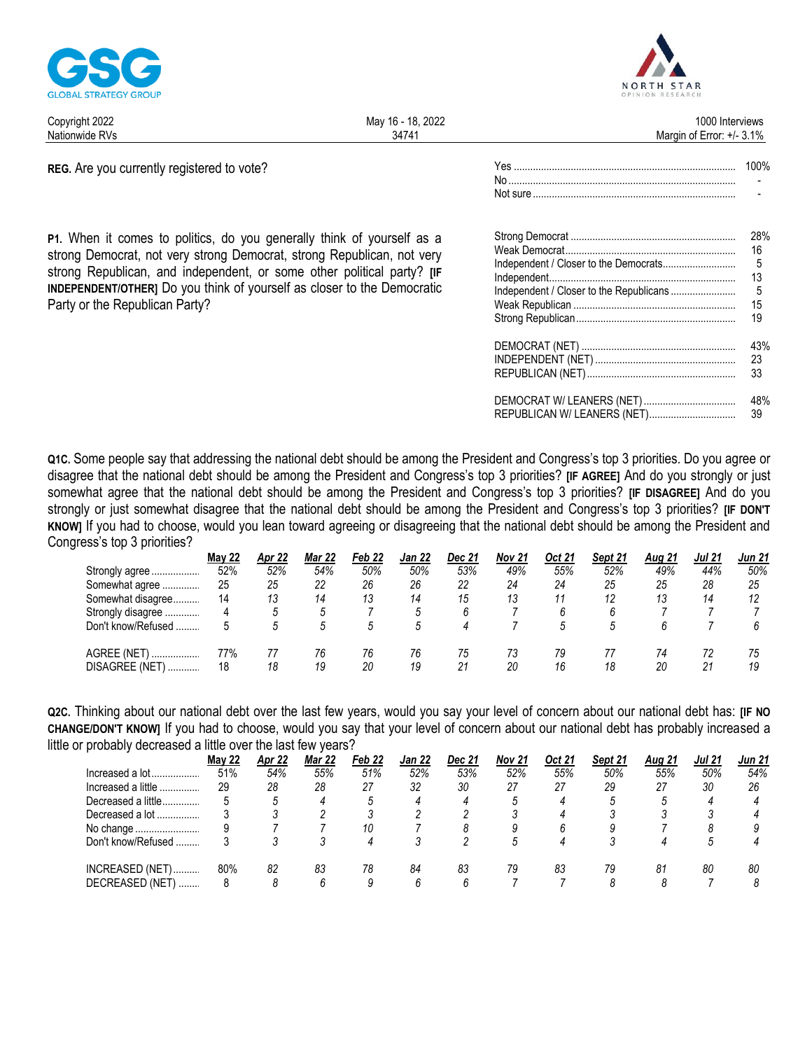

May 16 - 18, 2022 Copyright 2022 Margin of Error: +/- 3.1% Nationwide RVs 34741

REG. Are you currently registered to vote?

P1. When it comes to politics, do you generally think of yourself as a strong Democrat, not very strong Democrat, strong Republican, not very strong Republican, and independent, or some other political party? [IF **INDEPENDENT/OTHERI** Do you think of yourself as closer to the Democratic Party or the Republican Party?

| 28%<br>16 |
|-----------|
| 13        |
| 15        |
| 19        |
| 43%<br>23 |

Not sure

|                             | -23 |
|-----------------------------|-----|
|                             | 33  |
|                             | 48% |
| REPUBLICAN W/ LEANERS (NET) | -39 |

Q1C. Some people say that addressing the national debt should be among the President and Congress's top 3 priorities. Do you agree or disagree that the national debt should be among the President and Congress's top 3 priorities? [IF AGREE] And do you strongly or just somewhat agree that the national debt should be among the President and Congress's top 3 priorities? [IF DISAGREE] And do you strongly or just somewhat disagree that the national debt should be among the President and Congress's top 3 priorities? [IF DON'T KNOW] If you had to choose, would you lean toward agreeing or disagreeing that the national debt should be among the President and Congress's top 3 priorities?

|                    | <b>May 22</b> | Apr 22 | Mar 22 | Feb 22 | <b>Jan 22</b> | Dec 21 | Nov 21 | Oct 21 | Sept 21 | <b>Aug 21</b> | <b>Jul 21</b> | <b>Jun 21</b> |
|--------------------|---------------|--------|--------|--------|---------------|--------|--------|--------|---------|---------------|---------------|---------------|
| Strongly agree     | 52%           | 52%    | 54%    | 50%    | 50%           | 53%    | 49%    | 55%    | 52%     | 49%           | 44%           | 50%           |
| Somewhat agree     | 25            | 25     | 22     | 26     | 26            | 22     | 24     | 24     | 25      | 25            | 28            | 25            |
| Somewhat disagree  | 14            | 13     | 14     | 13     | 14            | 15     | 13     |        |         |               | 14            | 12            |
| Strongly disagree  |               |        |        |        |               |        |        |        |         |               |               |               |
| Don't know/Refused |               |        |        |        |               |        |        | .5     |         |               |               |               |
| AGREE (NET)        | 77%           |        | 76     | 76     | 76            | 75     |        | 79     |         |               | 72            | 75            |
| DISAGREE (NET)<br> | 18            | 18     | 19     | 20     | 19            | 21     | 20     | 16     | 18      | 20            | 21            | 19            |

Q2C. Thinking about our national debt over the last few years, would you say your level of concern about our national debt has: [IF NO CHANGE/DON'T KNOW] If you had to choose, would you say that your level of concern about our national debt has probably increased a little or probably decreased a little over the last few years?

|                    | <b>May 22</b> | Apr 22 | Mar 22 | Feb 22 | Jan 22 | Dec 21 | Nov 21 | Oct 21 | Sept 21 | <b>Aug 21</b> | <b>Jul 21</b> | Jun 21 |
|--------------------|---------------|--------|--------|--------|--------|--------|--------|--------|---------|---------------|---------------|--------|
| Increased a $lot$  | 51%           | 54%    | 55%    | 51%    | 52%    | 53%    | 52%    | 55%    | 50%     | 55%           | 50%           | 54%    |
| Increased a little | 29            | 28     | 28     | 27     | 32     | 30     | 27     | 27     | 29      | 27            | 30            | 26     |
| Decreased a little |               |        |        |        | 4      |        |        |        |         |               |               |        |
| Decreased a lot    |               |        |        |        |        |        |        |        |         |               |               |        |
| No change          |               |        |        | 10     |        |        |        |        |         |               |               |        |
| Don't know/Refused |               |        |        |        |        |        |        |        |         |               |               |        |
| INCREASED (NET)    | 80%           | 82     | 83     | 78     | 84     | 83     | 79     | 83     | 79      | 81            | 80            | 80     |
| DECREASED (NET)    |               |        | ĸ      |        | 6      |        |        |        |         |               |               |        |



1000 Interviews

100%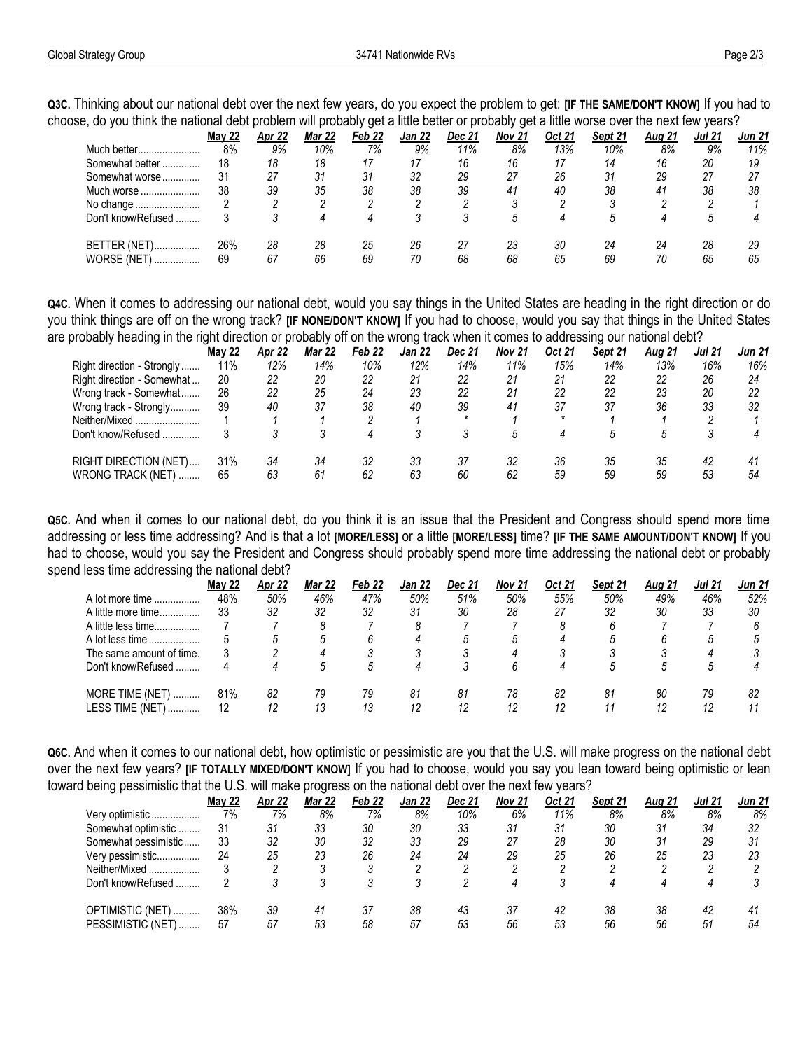**Q3C.** Thinking about our national debt over the next few years, do you expect the problem to get: **[IF THE SAME/DON'T KNOW]** If you had to choose, do you think the national debt problem will probably get a little better or probably get a little worse over the next few years?

|                         |               |        |               | ັ      |               |        |        |        |         |               |        |               |  |  |  |
|-------------------------|---------------|--------|---------------|--------|---------------|--------|--------|--------|---------|---------------|--------|---------------|--|--|--|
|                         | <b>May 22</b> | Apr 22 | <b>Mar 22</b> | Feb 22 | <b>Jan 22</b> | Dec 21 | Nov 21 | Oct 21 | Sept 21 | <b>Aug 21</b> | Jul 21 | <b>Jun 21</b> |  |  |  |
| Much better             | 8%            | 9%     | 10%           | 7%     | 9%            | 11%    | 8%     | 13%    | 10%     | 8%            | 9%     | 11%           |  |  |  |
| Somewhat better<br>     | 18            | 18     | 18            |        |               | 16     | 16     |        | 14      | 16            | 20     | 19            |  |  |  |
| Somewhat worse          | 31            | 27     | 31            | 31     | 32            | 29     | 27     | 26     | 31      | 29            | 27     | 27            |  |  |  |
| Much worse              | 38            | 39     | 35            | 38     | 38            | 39     | 41     | 40     | 38      | 41            | 38     | 38            |  |  |  |
| No change               |               |        |               |        |               |        |        |        | ◠       |               |        |               |  |  |  |
| Don't know/Refused      |               |        |               |        |               |        | .5     |        |         |               | .5     |               |  |  |  |
| BETTER (NET)<br>,       | 26%           | 28     | 28            | 25     | 26            |        | 23     | 30     | 24      | 24            | 28     | 29            |  |  |  |
| <b>WORSE (NET)</b><br>. | 69            | 67     | 66            | 69     | 70            | 68     | 68     | 65     | 69      |               | 65     | 65            |  |  |  |

**Q4C.** When it comes to addressing our national debt, would you say things in the United States are heading in the right direction or do you think things are off on the wrong track? **[IF NONE/DON'T KNOW]** If you had to choose, would you say that things in the United States are probably heading in the right direction or probably off on the wrong track when it comes to addressing our national debt?

|                            | <b>May 22</b> | Apr 22 | Mar 22 | Feb <sub>22</sub> | Jan 22 | Dec 21  | <b>Nov 21</b> | Oct 21  | Sept 21 | <u>Aug 21</u> | Jul 21 | <b>Jun 21</b> |
|----------------------------|---------------|--------|--------|-------------------|--------|---------|---------------|---------|---------|---------------|--------|---------------|
| Right direction - Strongly | 11%           | 12%    | 14%    | 10%               | 12%    | 14%     | 11%           | 15%     | 14%     | 13%           | 16%    | 16%           |
| Right direction - Somewhat | 20            | 22     | 20     | 22                | 21     | 22      | 21            | 21      | 22      | 22            | 26     | 24            |
| Wrong track - Somewhat     | 26            | 22     | 25     | 24                | 23     | 22      | 21            | 22      | 22      | 23            | 20     | 22            |
| Wrong track - Strongly     | 39            | 40     | 37     | 38                | 40     | 39      | 41            | 37      | 37      | 36            | 33     | 32            |
| Neither/Mixed              |               |        |        |                   |        | $\star$ |               | $\star$ |         |               |        |               |
| Don't know/Refused         |               |        |        |                   |        |         |               |         |         |               |        |               |
| RIGHT DIRECTION (NET)      | 31%           | 34     | 34     | 32                | 33     | 37      | 32            | 36      | 35      | 35            | 42     | 41            |
| WRONG TRACK (NET)          | 65            | 63     | 61     | 62                | 63     | 60      | 62            | 59      | 59      | 59            | 53     | 54            |

**Q5C.** And when it comes to our national debt, do you think it is an issue that the President and Congress should spend more time addressing or less time addressing? And is that a lot **[MORE/LESS]** or a little **[MORE/LESS]** time? **[IF THE SAME AMOUNT/DON'T KNOW]** If you had to choose, would you say the President and Congress should probably spend more time addressing the national debt or probably spend less time addressing the national debt?

|                                           | <b>May 22</b> | Apr 22   | Mar 22   | Feb 22   | <b>Jan 22</b> | Dec 21   | Nov 21   | Oct 21   | Sept 21 | <b>Aug 21</b> | <b>Jul 21</b> | Jun 21 |
|-------------------------------------------|---------------|----------|----------|----------|---------------|----------|----------|----------|---------|---------------|---------------|--------|
| A lot more time                           | 48%           | 50%      | 46%      | 47%      | 50%           | 51%      | 50%      | 55%      | 50%     | 49%           | 46%           | 52%    |
| A little more time                        | 33            | 32       | 32       | 32       | 31            | 30       | 28       | 27       | 32      | 30            | 33            | 30     |
| A little less time                        |               |          | 8        |          | 8             |          |          |          |         |               |               |        |
| A lot less time                           |               |          |          |          |               |          |          |          |         |               |               |        |
| The same amount of time.                  |               |          |          |          |               |          |          |          |         |               |               |        |
| Don't know/Refused                        |               |          | .5       |          | 4             |          |          |          |         |               |               |        |
| MORE TIME (NET)<br><b>LESS TIME (NET)</b> | 81%<br>12     | 82<br>12 | 79<br>13 | 79<br>13 | 81<br>12      | 81<br>12 | 78<br>12 | 82<br>12 | 81      | 80            | 79<br>12      | 82     |

**Q6C.** And when it comes to our national debt, how optimistic or pessimistic are you that the U.S. will make progress on the national debt over the next few years? **[IF TOTALLY MIXED/DON'T KNOW]** If you had to choose, would you say you lean toward being optimistic or lean toward being pessimistic that the U.S. will make progress on the national debt over the next few years?

|                      | <b>May 22</b> | Apr 22 | <b>Mar 22</b> | Feb 22 | Jan 22 | Dec 21 | Nov 21 | Oct 21 | Sept 21 | <b>Aug 21</b> | <b>Jul 21</b> | Jun 21 |
|----------------------|---------------|--------|---------------|--------|--------|--------|--------|--------|---------|---------------|---------------|--------|
| Very optimistic      | 7%            | 7%     | 8%            | 7%     | 8%     | 10%    | 6%     | 11%    | 8%      | 8%            | 8%            | 8%     |
| Somewhat optimistic  | 31            | 31     | 33            | 30     | 30     | 33     | 31     | 31     | 30      | 31            | 34            | 32     |
| Somewhat pessimistic | 33            | 32     | 30            | 32     | 33     | 29     | 27     | 28     | 30      | 31            | 29            | 31     |
| Very pessimistic     | 24            | 25     | 23            | 26     | 24     | 24     | 29     | 25     | 26      | 25            | 23            | 23     |
| Neither/Mixed        |               |        |               |        |        |        |        |        |         |               |               |        |
| Don't know/Refused   |               |        |               |        |        |        |        |        |         |               |               |        |
| OPTIMISTIC (NET)     | 38%           | 39     | 41            | -37    | 38     | 43     | 37     | 42     | 38      | 38            | 42            | 41     |
| PESSIMISTIC (NET)    | 57            | 57     | 53            | 58     | 57     | 53     | 56     | 53     | 56      | 56            | -51           | 54     |